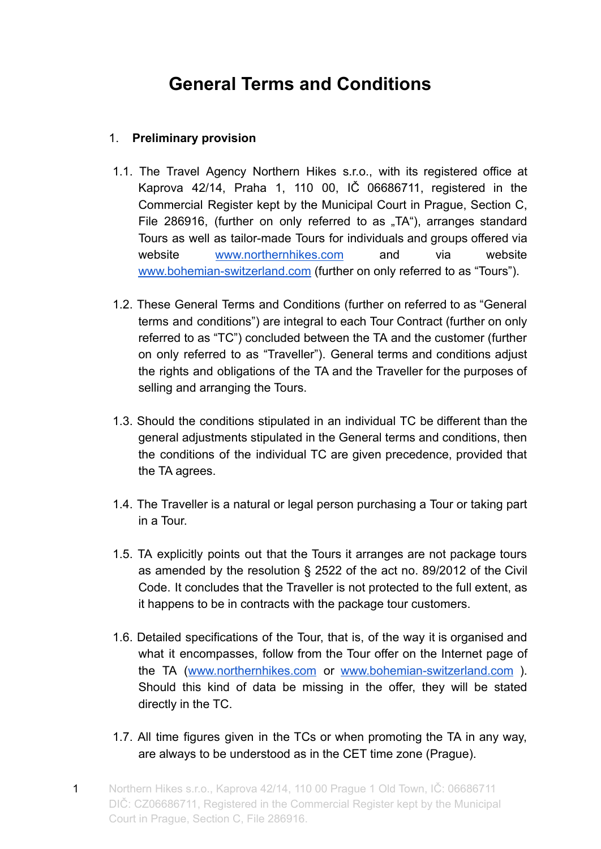# **General Terms and Conditions**

## 1. **Preliminary provision**

- 1.1. The Travel Agency Northern Hikes s.r.o., with its registered office at Kaprova 42/14, Praha 1, 110 00, IČ 06686711, registered in the Commercial Register kept by the Municipal Court in Prague, Section C, File 286916, (further on only referred to as "TA"), arranges standard Tours as well as tailor-made Tours for individuals and groups offered via website [www.northernhikes.com](http://www.northernhikes.com) and via website [www.bohemian-switzerland.com](http://www.bohemian-switzerland.com) (further on only referred to as "Tours").
- 1.2. These General Terms and Conditions (further on referred to as "General terms and conditions") are integral to each Tour Contract (further on only referred to as "TC") concluded between the TA and the customer (further on only referred to as "Traveller"). General terms and conditions adjust the rights and obligations of the TA and the Traveller for the purposes of selling and arranging the Tours.
- 1.3. Should the conditions stipulated in an individual TC be different than the general adjustments stipulated in the General terms and conditions, then the conditions of the individual TC are given precedence, provided that the TA agrees.
- 1.4. The Traveller is a natural or legal person purchasing a Tour or taking part in a Tour.
- 1.5. TA explicitly points out that the Tours it arranges are not package tours as amended by the resolution § 2522 of the act no. 89/2012 of the Civil Code. It concludes that the Traveller is not protected to the full extent, as it happens to be in contracts with the package tour customers.
- 1.6. Detailed specifications of the Tour, that is, of the way it is organised and what it encompasses, follow from the Tour offer on the Internet page of the TA ([www.northernhikes.com](http://www.northernhikes.com) or [www.bohemian-switzerland.com](http://www.bohemian-switzerland.com) ). Should this kind of data be missing in the offer, they will be stated directly in the TC.
- 1.7. All time figures given in the TCs or when promoting the TA in any way, are always to be understood as in the CET time zone (Prague).
- 1 Northern Hikes s.r.o., Kaprova 42/14, 110 00 Prague 1 Old Town, IČ: 06686711 DIČ: CZ06686711, Registered in the Commercial Register kept by the Municipal Court in Prague, Section C, File 286916.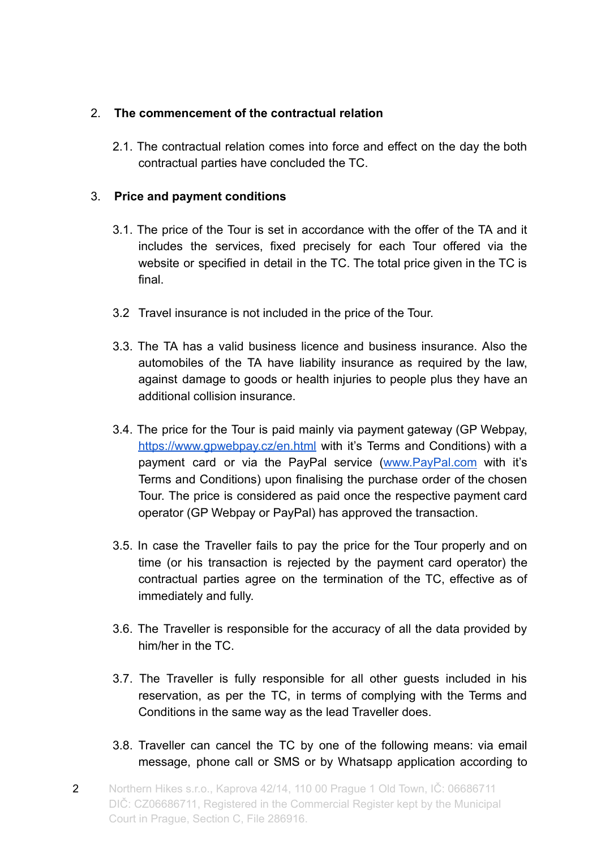## 2. **The commencement of the contractual relation**

2.1. The contractual relation comes into force and effect on the day the both contractual parties have concluded the TC.

#### 3. **Price and payment conditions**

- 3.1. The price of the Tour is set in accordance with the offer of the TA and it includes the services, fixed precisely for each Tour offered via the website or specified in detail in the TC. The total price given in the TC is final.
- 3.2 Travel insurance is not included in the price of the Tour.
- 3.3. The TA has a valid business licence and business insurance. Also the automobiles of the TA have liability insurance as required by the law, against damage to goods or health injuries to people plus they have an additional collision insurance.
- 3.4. The price for the Tour is paid mainly via payment gateway (GP Webpay, <https://www.gpwebpay.cz/en.html> with it's Terms and Conditions) with a payment card or via the PayPal service [\(www.PayPal.com](http://www.paypal.com) with it's Terms and Conditions) upon finalising the purchase order of the chosen Tour. The price is considered as paid once the respective payment card operator (GP Webpay or PayPal) has approved the transaction.
- 3.5. In case the Traveller fails to pay the price for the Tour properly and on time (or his transaction is rejected by the payment card operator) the contractual parties agree on the termination of the TC, effective as of immediately and fully.
- 3.6. The Traveller is responsible for the accuracy of all the data provided by him/her in the TC.
- 3.7. The Traveller is fully responsible for all other guests included in his reservation, as per the TC, in terms of complying with the Terms and Conditions in the same way as the lead Traveller does.
- 3.8. Traveller can cancel the TC by one of the following means: via email message, phone call or SMS or by Whatsapp application according to
- 2 Northern Hikes s.r.o., Kaprova 42/14, 110 00 Prague 1 Old Town, IČ: 06686711 DIČ: CZ06686711, Registered in the Commercial Register kept by the Municipal Court in Prague, Section C, File 286916.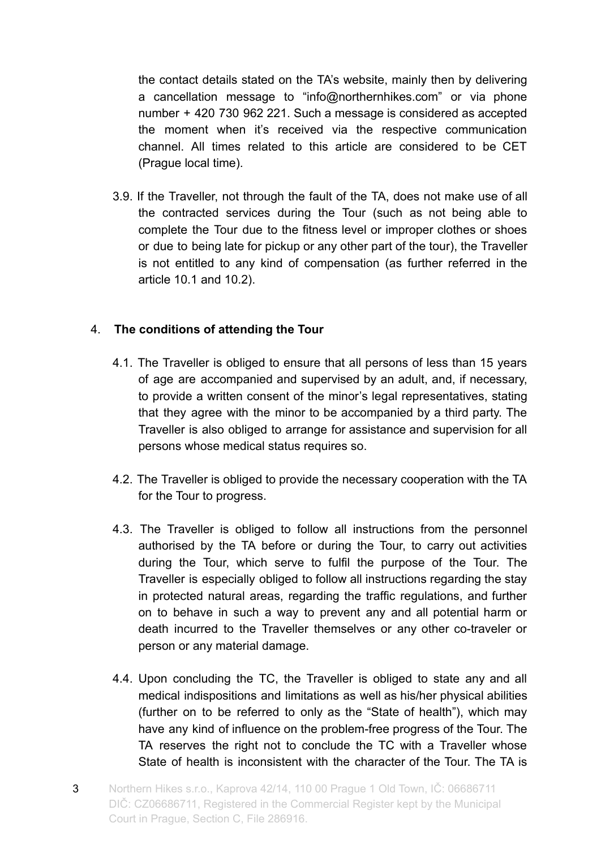the contact details stated on the TA's website, mainly then by delivering a cancellation message to "info@northernhikes.com" or via phone number + 420 730 962 221. Such a message is considered as accepted the moment when it's received via the respective communication channel. All times related to this article are considered to be CET (Prague local time).

3.9. If the Traveller, not through the fault of the TA, does not make use of all the contracted services during the Tour (such as not being able to complete the Tour due to the fitness level or improper clothes or shoes or due to being late for pickup or any other part of the tour), the Traveller is not entitled to any kind of compensation (as further referred in the article 10.1 and 10.2).

## 4. **The conditions of attending the Tour**

- 4.1. The Traveller is obliged to ensure that all persons of less than 15 years of age are accompanied and supervised by an adult, and, if necessary, to provide a written consent of the minor's legal representatives, stating that they agree with the minor to be accompanied by a third party. The Traveller is also obliged to arrange for assistance and supervision for all persons whose medical status requires so.
- 4.2. The Traveller is obliged to provide the necessary cooperation with the TA for the Tour to progress.
- 4.3. The Traveller is obliged to follow all instructions from the personnel authorised by the TA before or during the Tour, to carry out activities during the Tour, which serve to fulfil the purpose of the Tour. The Traveller is especially obliged to follow all instructions regarding the stay in protected natural areas, regarding the traffic regulations, and further on to behave in such a way to prevent any and all potential harm or death incurred to the Traveller themselves or any other co-traveler or person or any material damage.
- 4.4. Upon concluding the TC, the Traveller is obliged to state any and all medical indispositions and limitations as well as his/her physical abilities (further on to be referred to only as the "State of health"), which may have any kind of influence on the problem-free progress of the Tour. The TA reserves the right not to conclude the TC with a Traveller whose State of health is inconsistent with the character of the Tour. The TA is
- 3 Northern Hikes s.r.o., Kaprova 42/14, 110 00 Prague 1 Old Town, IČ: 06686711 DIČ: CZ06686711, Registered in the Commercial Register kept by the Municipal Court in Prague, Section C, File 286916.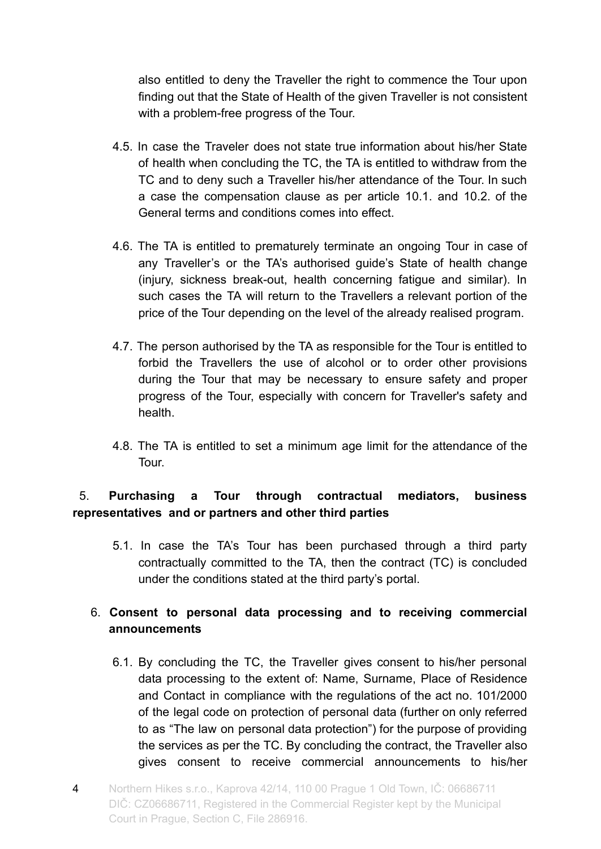also entitled to deny the Traveller the right to commence the Tour upon finding out that the State of Health of the given Traveller is not consistent with a problem-free progress of the Tour.

- 4.5. In case the Traveler does not state true information about his/her State of health when concluding the TC, the TA is entitled to withdraw from the TC and to deny such a Traveller his/her attendance of the Tour. In such a case the compensation clause as per article 10.1. and 10.2. of the General terms and conditions comes into effect.
- 4.6. The TA is entitled to prematurely terminate an ongoing Tour in case of any Traveller's or the TA's authorised guide's State of health change (injury, sickness break-out, health concerning fatigue and similar). In such cases the TA will return to the Travellers a relevant portion of the price of the Tour depending on the level of the already realised program.
- 4.7. The person authorised by the TA as responsible for the Tour is entitled to forbid the Travellers the use of alcohol or to order other provisions during the Tour that may be necessary to ensure safety and proper progress of the Tour, especially with concern for Traveller's safety and health.
- 4.8. The TA is entitled to set a minimum age limit for the attendance of the Tour.

## 5. **Purchasing a Tour through contractual mediators, business representatives and or partners and other third parties**

5.1. In case the TA's Tour has been purchased through a third party contractually committed to the TA, then the contract (TC) is concluded under the conditions stated at the third party's portal.

## 6. **Consent to personal data processing and to receiving commercial announcements**

- 6.1. By concluding the TC, the Traveller gives consent to his/her personal data processing to the extent of: Name, Surname, Place of Residence and Contact in compliance with the regulations of the act no. 101/2000 of the legal code on protection of personal data (further on only referred to as "The law on personal data protection") for the purpose of providing the services as per the TC. By concluding the contract, the Traveller also gives consent to receive commercial announcements to his/her
- 4 Northern Hikes s.r.o., Kaprova 42/14, 110 00 Prague 1 Old Town, IČ: 06686711 DIČ: CZ06686711, Registered in the Commercial Register kept by the Municipal Court in Prague, Section C, File 286916.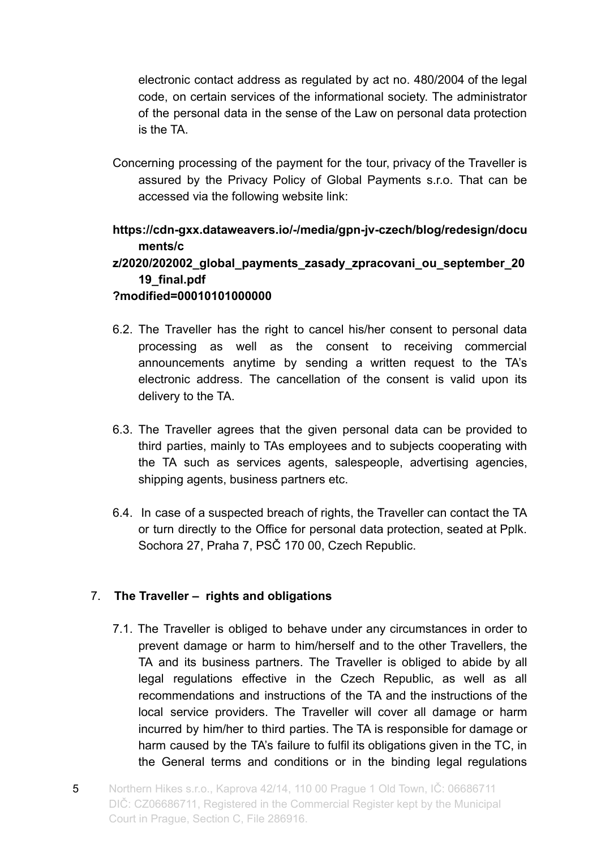electronic contact address as regulated by act no. 480/2004 of the legal code, on certain services of the informational society. The administrator of the personal data in the sense of the Law on personal data protection is the TA.

Concerning processing of the payment for the tour, privacy of the Traveller is assured by the Privacy Policy of Global Payments s.r.o. That can be accessed via the following website link:

**https://cdn-gxx.dataweavers.io/-/media/gpn-jv-czech/blog/redesign/docu ments/c**

## **z/2020/202002\_global\_payments\_zasady\_zpracovani\_ou\_september\_20 19\_final.pdf**

## **?modified=00010101000000**

- 6.2. The Traveller has the right to cancel his/her consent to personal data processing as well as the consent to receiving commercial announcements anytime by sending a written request to the TA's electronic address. The cancellation of the consent is valid upon its delivery to the TA.
- 6.3. The Traveller agrees that the given personal data can be provided to third parties, mainly to TAs employees and to subjects cooperating with the TA such as services agents, salespeople, advertising agencies, shipping agents, business partners etc.
- 6.4. In case of a suspected breach of rights, the Traveller can contact the TA or turn directly to the Office for personal data protection, seated at Pplk. Sochora 27, Praha 7, PSČ 170 00, Czech Republic.

## 7. **The Traveller – rights and obligations**

- 7.1. The Traveller is obliged to behave under any circumstances in order to prevent damage or harm to him/herself and to the other Travellers, the TA and its business partners. The Traveller is obliged to abide by all legal regulations effective in the Czech Republic, as well as all recommendations and instructions of the TA and the instructions of the local service providers. The Traveller will cover all damage or harm incurred by him/her to third parties. The TA is responsible for damage or harm caused by the TA's failure to fulfil its obligations given in the TC, in the General terms and conditions or in the binding legal regulations
- 5 Northern Hikes s.r.o., Kaprova 42/14, 110 00 Prague 1 Old Town, IČ: 06686711 DIČ: CZ06686711, Registered in the Commercial Register kept by the Municipal Court in Prague, Section C, File 286916.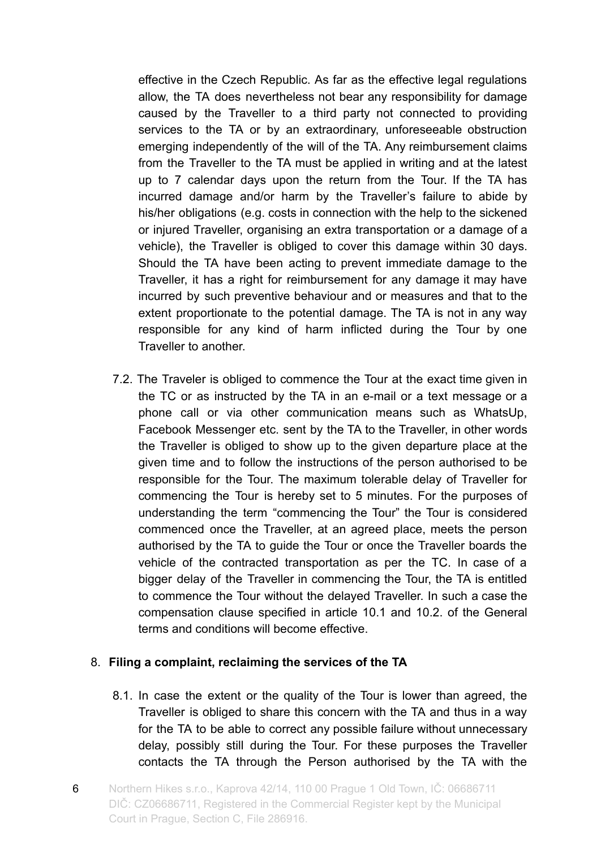effective in the Czech Republic. As far as the effective legal regulations allow, the TA does nevertheless not bear any responsibility for damage caused by the Traveller to a third party not connected to providing services to the TA or by an extraordinary, unforeseeable obstruction emerging independently of the will of the TA. Any reimbursement claims from the Traveller to the TA must be applied in writing and at the latest up to 7 calendar days upon the return from the Tour. If the TA has incurred damage and/or harm by the Traveller's failure to abide by his/her obligations (e.g. costs in connection with the help to the sickened or injured Traveller, organising an extra transportation or a damage of a vehicle), the Traveller is obliged to cover this damage within 30 days. Should the TA have been acting to prevent immediate damage to the Traveller, it has a right for reimbursement for any damage it may have incurred by such preventive behaviour and or measures and that to the extent proportionate to the potential damage. The TA is not in any way responsible for any kind of harm inflicted during the Tour by one Traveller to another.

7.2. The Traveler is obliged to commence the Tour at the exact time given in the TC or as instructed by the TA in an e-mail or a text message or a phone call or via other communication means such as WhatsUp, Facebook Messenger etc. sent by the TA to the Traveller, in other words the Traveller is obliged to show up to the given departure place at the given time and to follow the instructions of the person authorised to be responsible for the Tour. The maximum tolerable delay of Traveller for commencing the Tour is hereby set to 5 minutes. For the purposes of understanding the term "commencing the Tour" the Tour is considered commenced once the Traveller, at an agreed place, meets the person authorised by the TA to guide the Tour or once the Traveller boards the vehicle of the contracted transportation as per the TC. In case of a bigger delay of the Traveller in commencing the Tour, the TA is entitled to commence the Tour without the delayed Traveller. In such a case the compensation clause specified in article 10.1 and 10.2. of the General terms and conditions will become effective.

#### 8. **Filing a complaint, reclaiming the services of the TA**

- 8.1. In case the extent or the quality of the Tour is lower than agreed, the Traveller is obliged to share this concern with the TA and thus in a way for the TA to be able to correct any possible failure without unnecessary delay, possibly still during the Tour. For these purposes the Traveller contacts the TA through the Person authorised by the TA with the
- 6 Northern Hikes s.r.o., Kaprova 42/14, 110 00 Prague 1 Old Town, IČ: 06686711 DIČ: CZ06686711, Registered in the Commercial Register kept by the Municipal Court in Prague, Section C, File 286916.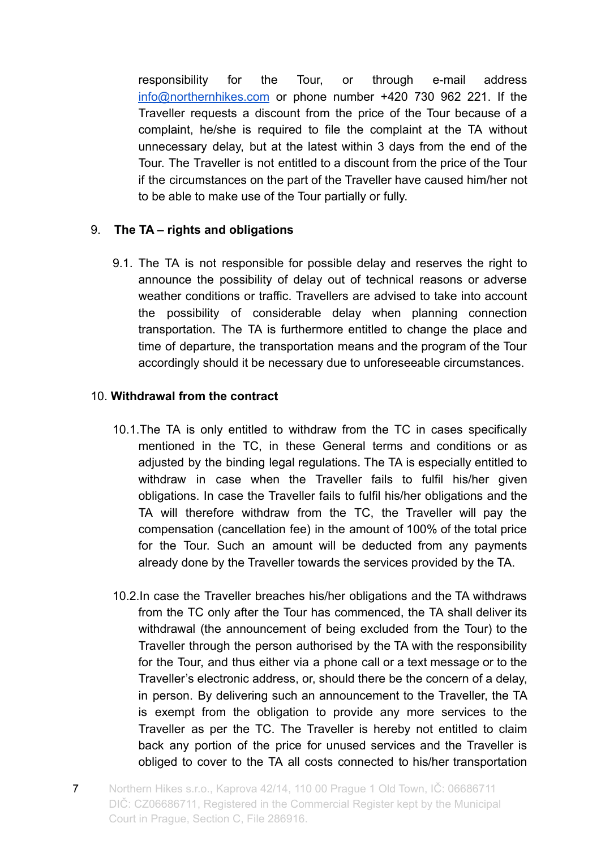responsibility for the Tour, or through e-mail address [info@northernhikes.com](mailto:info@northernhikes.com) or phone number +420 730 962 221. If the Traveller requests a discount from the price of the Tour because of a complaint, he/she is required to file the complaint at the TA without unnecessary delay, but at the latest within 3 days from the end of the Tour. The Traveller is not entitled to a discount from the price of the Tour if the circumstances on the part of the Traveller have caused him/her not to be able to make use of the Tour partially or fully.

## 9. **The TA – rights and obligations**

9.1. The TA is not responsible for possible delay and reserves the right to announce the possibility of delay out of technical reasons or adverse weather conditions or traffic. Travellers are advised to take into account the possibility of considerable delay when planning connection transportation. The TA is furthermore entitled to change the place and time of departure, the transportation means and the program of the Tour accordingly should it be necessary due to unforeseeable circumstances.

## 10. **Withdrawal from the contract**

- 10.1.The TA is only entitled to withdraw from the TC in cases specifically mentioned in the TC, in these General terms and conditions or as adjusted by the binding legal regulations. The TA is especially entitled to withdraw in case when the Traveller fails to fulfil his/her given obligations. In case the Traveller fails to fulfil his/her obligations and the TA will therefore withdraw from the TC, the Traveller will pay the compensation (cancellation fee) in the amount of 100% of the total price for the Tour. Such an amount will be deducted from any payments already done by the Traveller towards the services provided by the TA.
- 10.2.In case the Traveller breaches his/her obligations and the TA withdraws from the TC only after the Tour has commenced, the TA shall deliver its withdrawal (the announcement of being excluded from the Tour) to the Traveller through the person authorised by the TA with the responsibility for the Tour, and thus either via a phone call or a text message or to the Traveller's electronic address, or, should there be the concern of a delay, in person. By delivering such an announcement to the Traveller, the TA is exempt from the obligation to provide any more services to the Traveller as per the TC. The Traveller is hereby not entitled to claim back any portion of the price for unused services and the Traveller is obliged to cover to the TA all costs connected to his/her transportation
- 7 Northern Hikes s.r.o., Kaprova 42/14, 110 00 Prague 1 Old Town, IČ: 06686711 DIČ: CZ06686711, Registered in the Commercial Register kept by the Municipal Court in Prague, Section C, File 286916.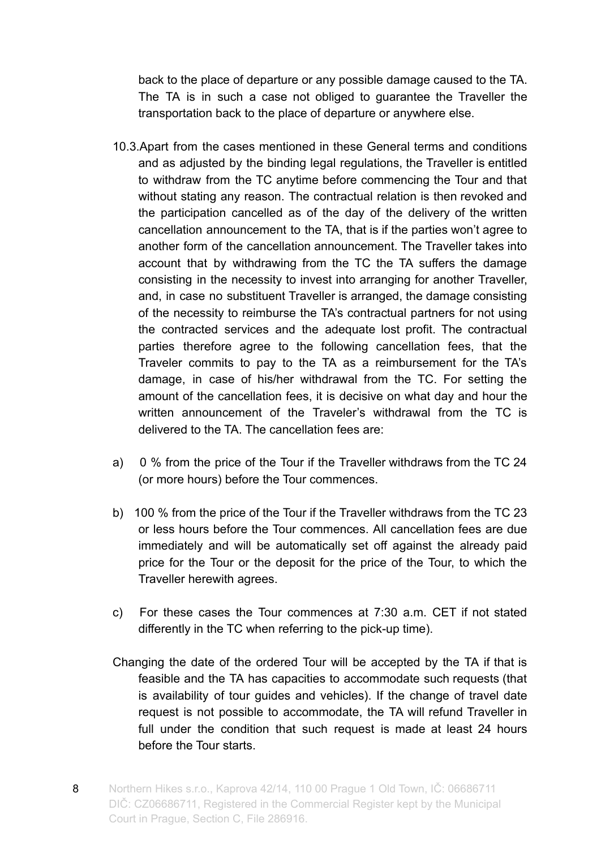back to the place of departure or any possible damage caused to the TA. The TA is in such a case not obliged to guarantee the Traveller the transportation back to the place of departure or anywhere else.

- 10.3.Apart from the cases mentioned in these General terms and conditions and as adjusted by the binding legal regulations, the Traveller is entitled to withdraw from the TC anytime before commencing the Tour and that without stating any reason. The contractual relation is then revoked and the participation cancelled as of the day of the delivery of the written cancellation announcement to the TA, that is if the parties won't agree to another form of the cancellation announcement. The Traveller takes into account that by withdrawing from the TC the TA suffers the damage consisting in the necessity to invest into arranging for another Traveller, and, in case no substituent Traveller is arranged, the damage consisting of the necessity to reimburse the TA's contractual partners for not using the contracted services and the adequate lost profit. The contractual parties therefore agree to the following cancellation fees, that the Traveler commits to pay to the TA as a reimbursement for the TA's damage, in case of his/her withdrawal from the TC. For setting the amount of the cancellation fees, it is decisive on what day and hour the written announcement of the Traveler's withdrawal from the TC is delivered to the TA. The cancellation fees are:
- a) 0 % from the price of the Tour if the Traveller withdraws from the TC 24 (or more hours) before the Tour commences.
- b) 100 % from the price of the Tour if the Traveller withdraws from the TC 23 or less hours before the Tour commences. All cancellation fees are due immediately and will be automatically set off against the already paid price for the Tour or the deposit for the price of the Tour, to which the Traveller herewith agrees.
- c) For these cases the Tour commences at 7:30 a.m. CET if not stated differently in the TC when referring to the pick-up time).
- Changing the date of the ordered Tour will be accepted by the TA if that is feasible and the TA has capacities to accommodate such requests (that is availability of tour guides and vehicles). If the change of travel date request is not possible to accommodate, the TA will refund Traveller in full under the condition that such request is made at least 24 hours before the Tour starts.
- 8 Northern Hikes s.r.o., Kaprova 42/14, 110 00 Prague 1 Old Town, IČ: 06686711 DIČ: CZ06686711, Registered in the Commercial Register kept by the Municipal Court in Prague, Section C, File 286916.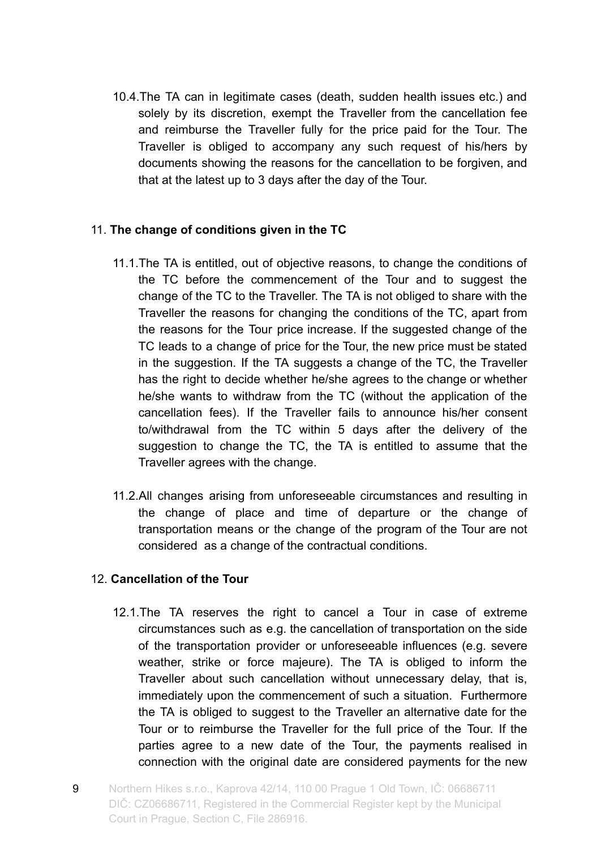10.4.The TA can in legitimate cases (death, sudden health issues etc.) and solely by its discretion, exempt the Traveller from the cancellation fee and reimburse the Traveller fully for the price paid for the Tour. The Traveller is obliged to accompany any such request of his/hers by documents showing the reasons for the cancellation to be forgiven, and that at the latest up to 3 days after the day of the Tour.

## 11. **The change of conditions given in the TC**

- 11.1.The TA is entitled, out of objective reasons, to change the conditions of the TC before the commencement of the Tour and to suggest the change of the TC to the Traveller. The TA is not obliged to share with the Traveller the reasons for changing the conditions of the TC, apart from the reasons for the Tour price increase. If the suggested change of the TC leads to a change of price for the Tour, the new price must be stated in the suggestion. If the TA suggests a change of the TC, the Traveller has the right to decide whether he/she agrees to the change or whether he/she wants to withdraw from the TC (without the application of the cancellation fees). If the Traveller fails to announce his/her consent to/withdrawal from the TC within 5 days after the delivery of the suggestion to change the TC, the TA is entitled to assume that the Traveller agrees with the change.
- 11.2.All changes arising from unforeseeable circumstances and resulting in the change of place and time of departure or the change of transportation means or the change of the program of the Tour are not considered as a change of the contractual conditions.

## 12. **Cancellation of the Tour**

- 12.1.The TA reserves the right to cancel a Tour in case of extreme circumstances such as e.g. the cancellation of transportation on the side of the transportation provider or unforeseeable influences (e.g. severe weather, strike or force majeure). The TA is obliged to inform the Traveller about such cancellation without unnecessary delay, that is, immediately upon the commencement of such a situation. Furthermore the TA is obliged to suggest to the Traveller an alternative date for the Tour or to reimburse the Traveller for the full price of the Tour. If the parties agree to a new date of the Tour, the payments realised in connection with the original date are considered payments for the new
- 9 Northern Hikes s.r.o., Kaprova 42/14, 110 00 Prague 1 Old Town, IČ: 06686711 DIČ: CZ06686711, Registered in the Commercial Register kept by the Municipal Court in Prague, Section C, File 286916.